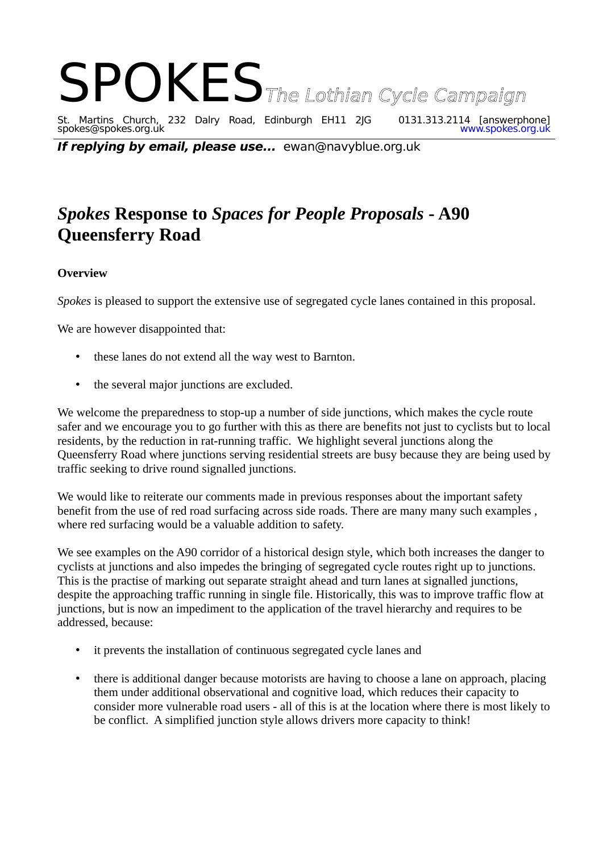# SPOKES<br>SThe Lothian Cycle Campaign<br>Spokes@spokes.org.uk<br>Spokes@spokes.org.uk St. Martins Church, 232 Dalry Road, Edinburgh EH11 2JG 0131.313.2114 [answerphone] spokes@spokes.org.uk www.spokes.org.uk

**If replying by email, please use...** ewan@navyblue.org.uk

## *Spokes* **Response to** *Spaces for People Proposals* **- A90 Queensferry Road**

#### **Overview**

*Spokes* is pleased to support the extensive use of segregated cycle lanes contained in this proposal.

We are however disappointed that:

- these lanes do not extend all the way west to Barnton.
- the several major junctions are excluded.

We welcome the preparedness to stop-up a number of side junctions, which makes the cycle route safer and we encourage you to go further with this as there are benefits not just to cyclists but to local residents, by the reduction in rat-running traffic. We highlight several junctions along the Queensferry Road where junctions serving residential streets are busy because they are being used by traffic seeking to drive round signalled junctions.

We would like to reiterate our comments made in previous responses about the important safety benefit from the use of red road surfacing across side roads. There are many many such examples , where red surfacing would be a valuable addition to safety.

We see examples on the A90 corridor of a historical design style, which both increases the danger to cyclists at junctions and also impedes the bringing of segregated cycle routes right up to junctions. This is the practise of marking out separate straight ahead and turn lanes at signalled junctions, despite the approaching traffic running in single file. Historically, this was to improve traffic flow at junctions, but is now an impediment to the application of the travel hierarchy and requires to be addressed, because:

- it prevents the installation of continuous segregated cycle lanes and
- there is additional danger because motorists are having to choose a lane on approach, placing them under additional observational and cognitive load, which reduces their capacity to consider more vulnerable road users - all of this is at the location where there is most likely to be conflict. A simplified junction style allows drivers more capacity to think!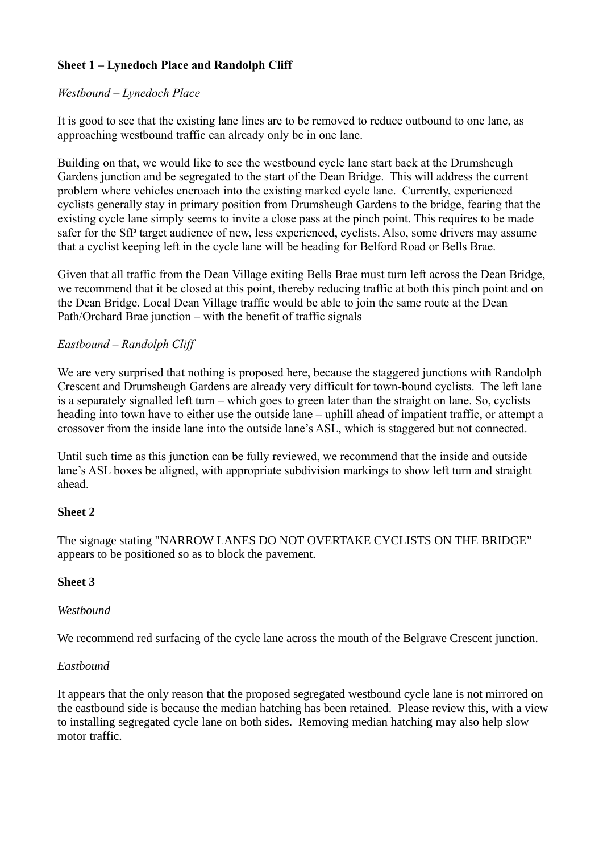### **Sheet 1 – Lynedoch Place and Randolph Cliff**

#### *Westbound – Lynedoch Place*

It is good to see that the existing lane lines are to be removed to reduce outbound to one lane, as approaching westbound traffic can already only be in one lane.

Building on that, we would like to see the westbound cycle lane start back at the Drumsheugh Gardens junction and be segregated to the start of the Dean Bridge. This will address the current problem where vehicles encroach into the existing marked cycle lane. Currently, experienced cyclists generally stay in primary position from Drumsheugh Gardens to the bridge, fearing that the existing cycle lane simply seems to invite a close pass at the pinch point. This requires to be made safer for the SfP target audience of new, less experienced, cyclists. Also, some drivers may assume that a cyclist keeping left in the cycle lane will be heading for Belford Road or Bells Brae.

Given that all traffic from the Dean Village exiting Bells Brae must turn left across the Dean Bridge, we recommend that it be closed at this point, thereby reducing traffic at both this pinch point and on the Dean Bridge. Local Dean Village traffic would be able to join the same route at the Dean Path/Orchard Brae junction – with the benefit of traffic signals

#### *Eastbound – Randolph Cliff*

We are very surprised that nothing is proposed here, because the staggered junctions with Randolph Crescent and Drumsheugh Gardens are already very difficult for town-bound cyclists. The left lane is a separately signalled left turn – which goes to green later than the straight on lane. So, cyclists heading into town have to either use the outside lane – uphill ahead of impatient traffic, or attempt a crossover from the inside lane into the outside lane's ASL, which is staggered but not connected.

Until such time as this junction can be fully reviewed, we recommend that the inside and outside lane's ASL boxes be aligned, with appropriate subdivision markings to show left turn and straight ahead.

#### **Sheet 2**

The signage stating "NARROW LANES DO NOT OVERTAKE CYCLISTS ON THE BRIDGE" appears to be positioned so as to block the pavement.

#### **Sheet 3**

#### *Westbound*

We recommend red surfacing of the cycle lane across the mouth of the Belgrave Crescent junction.

#### *Eastbound*

It appears that the only reason that the proposed segregated westbound cycle lane is not mirrored on the eastbound side is because the median hatching has been retained. Please review this, with a view to installing segregated cycle lane on both sides. Removing median hatching may also help slow motor traffic.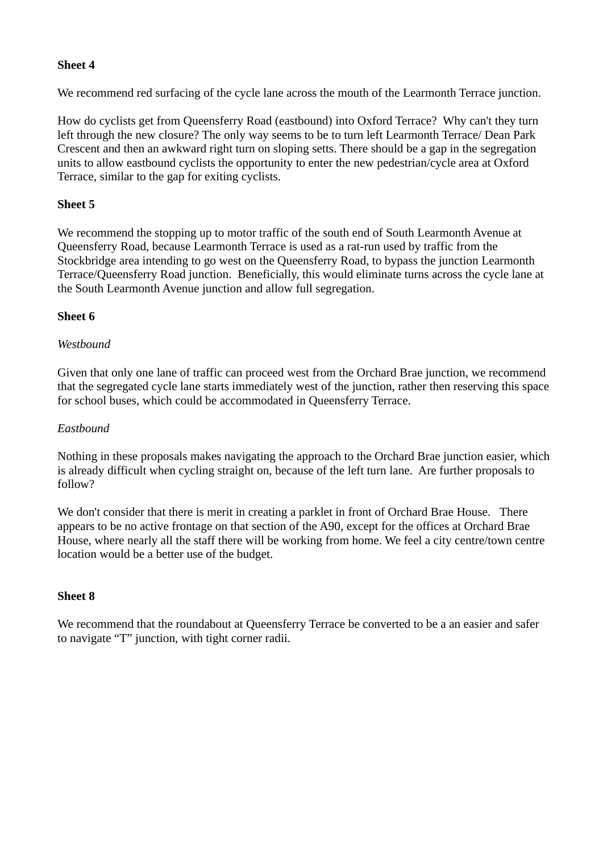#### **Sheet 4**

We recommend red surfacing of the cycle lane across the mouth of the Learmonth Terrace junction.

How do cyclists get from Queensferry Road (eastbound) into Oxford Terrace? Why can't they turn left through the new closure? The only way seems to be to turn left Learmonth Terrace/ Dean Park Crescent and then an awkward right turn on sloping setts. There should be a gap in the segregation units to allow eastbound cyclists the opportunity to enter the new pedestrian/cycle area at Oxford Terrace, similar to the gap for exiting cyclists.

#### **Sheet 5**

We recommend the stopping up to motor traffic of the south end of South Learmonth Avenue at Queensferry Road, because Learmonth Terrace is used as a rat-run used by traffic from the Stockbridge area intending to go west on the Queensferry Road, to bypass the junction Learmonth Terrace/Queensferry Road junction. Beneficially, this would eliminate turns across the cycle lane at the South Learmonth Avenue junction and allow full segregation.

#### **Sheet 6**

#### *Westbound*

Given that only one lane of traffic can proceed west from the Orchard Brae junction, we recommend that the segregated cycle lane starts immediately west of the junction, rather then reserving this space for school buses, which could be accommodated in Queensferry Terrace.

#### *Eastbound*

Nothing in these proposals makes navigating the approach to the Orchard Brae junction easier, which is already difficult when cycling straight on, because of the left turn lane. Are further proposals to follow?

We don't consider that there is merit in creating a parklet in front of Orchard Brae House. There appears to be no active frontage on that section of the A90, except for the offices at Orchard Brae House, where nearly all the staff there will be working from home. We feel a city centre/town centre location would be a better use of the budget.

#### **Sheet 8**

We recommend that the roundabout at Queensferry Terrace be converted to be a an easier and safer to navigate "T" junction, with tight corner radii.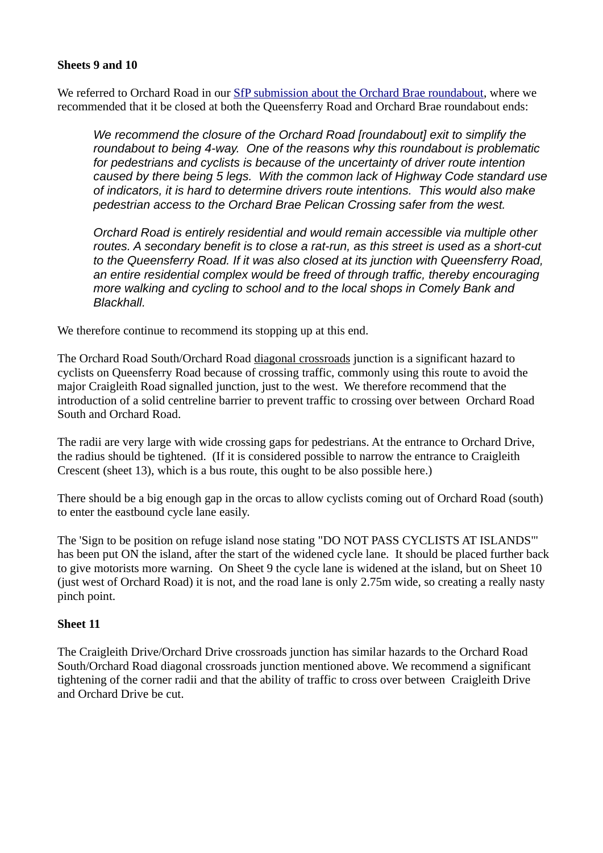#### **Sheets 9 and 10**

We referred to Orchard Road in our [SfP submission about the Orchard Brae roundabout,](http://www.spokes.org.uk/wp-content/uploads/2020/07/Spokes-Response-to-Spaces-for-People-Orchard-Brae-Roundabout-12-July-2020.pdf) where we recommended that it be closed at both the Queensferry Road and Orchard Brae roundabout ends:

*We recommend the closure of the Orchard Road [roundabout] exit to simplify the roundabout to being 4-way. One of the reasons why this roundabout is problematic for pedestrians and cyclists is because of the uncertainty of driver route intention caused by there being 5 legs. With the common lack of Highway Code standard use of indicators, it is hard to determine drivers route intentions. This would also make pedestrian access to the Orchard Brae Pelican Crossing safer from the west.*

*Orchard Road is entirely residential and would remain accessible via multiple other routes. A secondary benefit is to close a rat-run, as this street is used as a short-cut to the Queensferry Road. If it was also closed at its junction with Queensferry Road, an entire residential complex would be freed of through traffic, thereby encouraging more walking and cycling to school and to the local shops in Comely Bank and Blackhall.*

We therefore continue to recommend its stopping up at this end.

The Orchard Road South/Orchard Road diagonal crossroads junction is a significant hazard to cyclists on Queensferry Road because of crossing traffic, commonly using this route to avoid the major Craigleith Road signalled junction, just to the west. We therefore recommend that the introduction of a solid centreline barrier to prevent traffic to crossing over between Orchard Road South and Orchard Road.

The radii are very large with wide crossing gaps for pedestrians. At the entrance to Orchard Drive, the radius should be tightened. (If it is considered possible to narrow the entrance to Craigleith Crescent (sheet 13), which is a bus route, this ought to be also possible here.)

There should be a big enough gap in the orcas to allow cyclists coming out of Orchard Road (south) to enter the eastbound cycle lane easily.

The 'Sign to be position on refuge island nose stating "DO NOT PASS CYCLISTS AT ISLANDS"' has been put ON the island, after the start of the widened cycle lane. It should be placed further back to give motorists more warning. On Sheet 9 the cycle lane is widened at the island, but on Sheet 10 (just west of Orchard Road) it is not, and the road lane is only 2.75m wide, so creating a really nasty pinch point.

#### **Sheet 11**

The Craigleith Drive/Orchard Drive crossroads junction has similar hazards to the Orchard Road South/Orchard Road diagonal crossroads junction mentioned above. We recommend a significant tightening of the corner radii and that the ability of traffic to cross over between Craigleith Drive and Orchard Drive be cut.